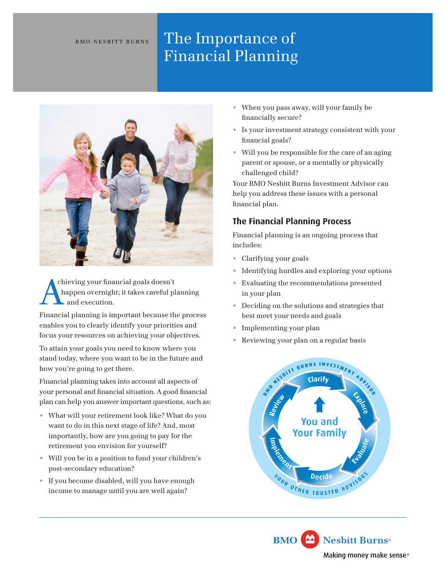# BMO NESBITT BURNS The Importance of Financial Planning



chieving your financial goals doesn't happen overnight; it takes careful planning and execution.

Financial planning is important because the process enables you to clearly identify your priorities and focus your resources on achieving your objectives.

To attain your goals you need to know where you stand today, where you want to be in the future and how you're going to get there.

Financial planning takes into account all aspects of your personal and financial situation. A good financial plan can help you answer important questions, such as:

- What will your retirement look like? What do you want to do in this next stage of life? And, most importantly, how are you going to pay for the retirement you envision for yourself?
- Will you be in a position to fund your children's post-secondary education?
- If you become disabled, will you have enough income to manage until you are well again?
- When you pass away, will your family be financially secure?
- Is your investment strategy consistent with your financial goals?
- Will you be responsible for the care of an aging parent or spouse, or a mentally or physically challenged child?

Your BMO Nesbitt Burns Investment Advisor can help you address these issues with a personal financial plan.

## **The Financial Planning Process**

Financial planning is an ongoing process that includes:

- Clarifying your goals
- Identifying hurdles and exploring your options
- Evaluating the recommendations presented in your plan
- Deciding on the solutions and strategies that best meet your needs and goals
- Implementing your plan
- Reviewing your plan on a regular basis